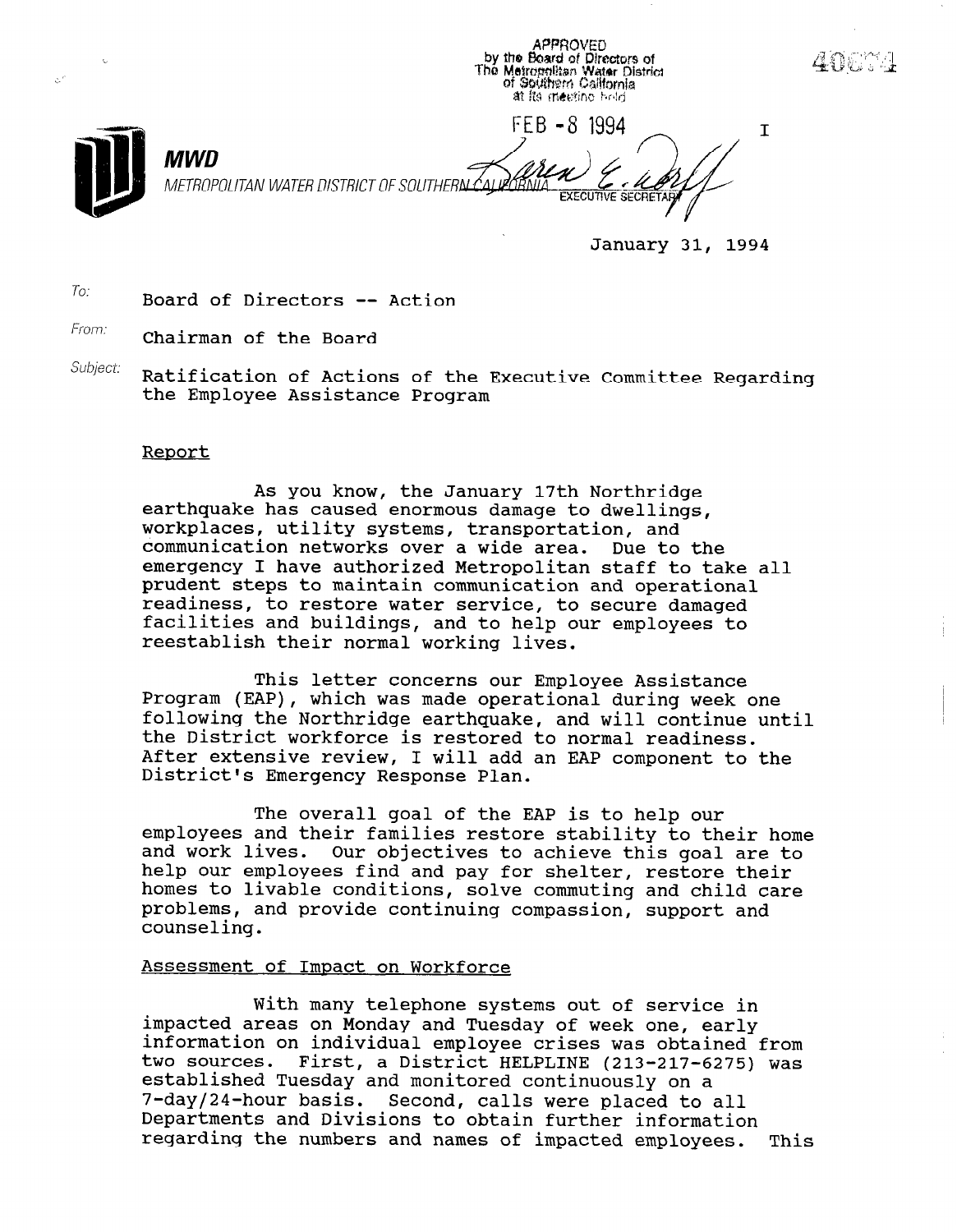by the Board of Directors of<br>The Metropolitan Water District<br>of Southern California at its meeting hold FEB - 8 1994 I MWD METROPOLITAN WATER DISTRICT OF SOUTHERN C

January 31, 1994

**APPROVED** 

To: Board of Directors -- Action

From: Chairman of the Board

Subject: Ratification of Actions of the Executive Committee Regarding the Employee Assistance Program

#### Report

As you know, the January 17th Northridge earthquake has you know, the banuary right northful earchquake has caused enormous damage to dwerfin workplaces, utility systems, transportation, and<br>communication networks over a wide area. Due to the communication networks over a wide area. Due to the emergency I have authorized metropolitan starf to ta prudent steps to maintain communication and operational readiness, to restore water service, to secure damaged facilities and buildings, and to help our employees to reestablish their normal working lives.

 $\mathbf{F}$  is letter concerns our Employee Assistance Assistance Assistance Assistance Assistance Assistance Assistance Assistance Assistance Assistance Assistance Assistance Assistance Assistance Assistance Assistance Assi Program (Eap), which was made once that we have concerned with was determined we have  $\mathbb{R}^n$ Program (EAP), which was made operational during week one following the Northridge earthquake, and will continue until the District workforce is restored to normal readiness. After extensive review, I will add an EAP component to the District's Emergency Response Plan.

The overall goal of the EAP is to help our employees and their families restore stability to their home and work lives. Our objectives to achieve this goal are to help our employees find and pay for shelter, restore their homes to livable conditions, solve commuting and child care problems, and provide continuing compassion, support and counseling.

#### Assessment of Impact on Workforce

With many telephone systems out of service in impacted areas on Monday and Tuesday of week one, early information on individual employee crises was obtained from two sources. First, a District HELPLINE (213-217-6275) was established Tuesday and monitored continuously on a 7-day/24-hour basis. Second, calls were placed to all Departments and Divisions to obtain further information regarding the numbers and names of impacted employees. This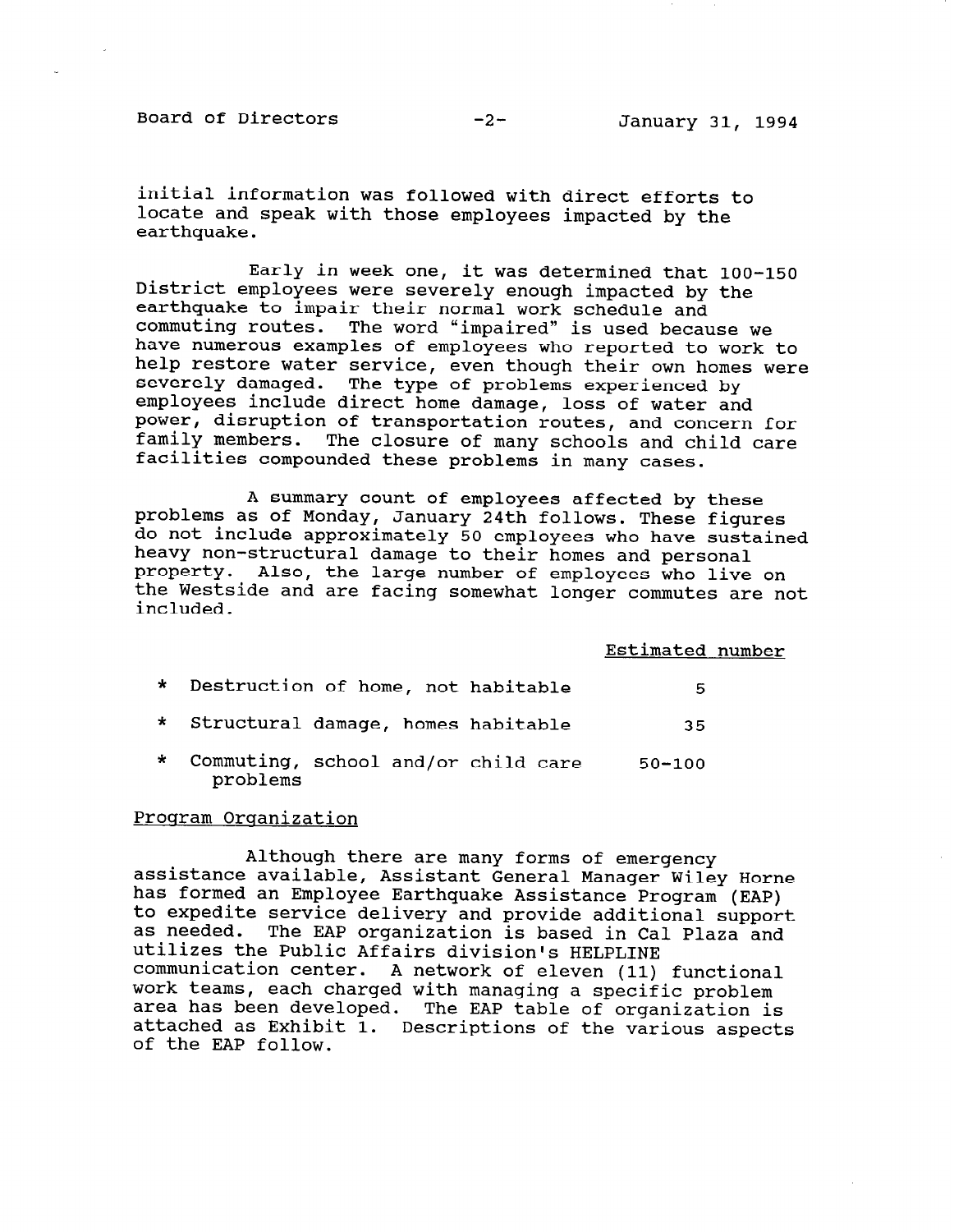Board of Directors -2- January 31, 1994

initial information was followed with direct efforts to locate and speak with those employees impacted by the earthquake.

Early in week one, it was determined that loo-150 District employees were severely enough impacted by the earthquake to impair their normal work schedule and commuting routes. The word "impaired" is used because we have numerous examples of employees who reported to work to help restore water service, even though their own homes were severely damaged. The type of problems experienced by employees include direct home damage, loss of water and power, disruption of transportation routes, and concern for family members. The closure of many schools and child care facilities compounded these problems in many cases.

A summary count of employees affected by these problems as of Monday, January 24th follows. These figures do not include approximately 50 employees who have sustained heavy non-structural damage to their homes and personal property. Also, the large number of employees who live on the Westside and are facing somewhat longer commutes are not included.

Estimated number

| $\star$ | Destruction of home, not habitable              | 5          |
|---------|-------------------------------------------------|------------|
| $\star$ | Structural damage, homes habitable              | 35         |
| $\star$ | Commuting, school and/or child care<br>problems | $50 - 100$ |

#### Program Organization

Although there are many forms of emergency assistance available, Assistant General Manager Wiley Horne has formed an Employee Earthquake Assistance Program (EAP) to expedite service delivery and provide additional support co expective service defivery and provide additional support as needed. The EAP Organization is based in C.<br>utilized the Public Affairs division L. HELPLIN utilizes the rublic Alialis division's HELPLINE<br>communication contex. A network of eleven (11) functio communication center. A network of eleven (11) function work teams, each charged with managing a specific problem area has been developed. The EAP table of organization is actached as EXIII The EAP Cable Of Organization is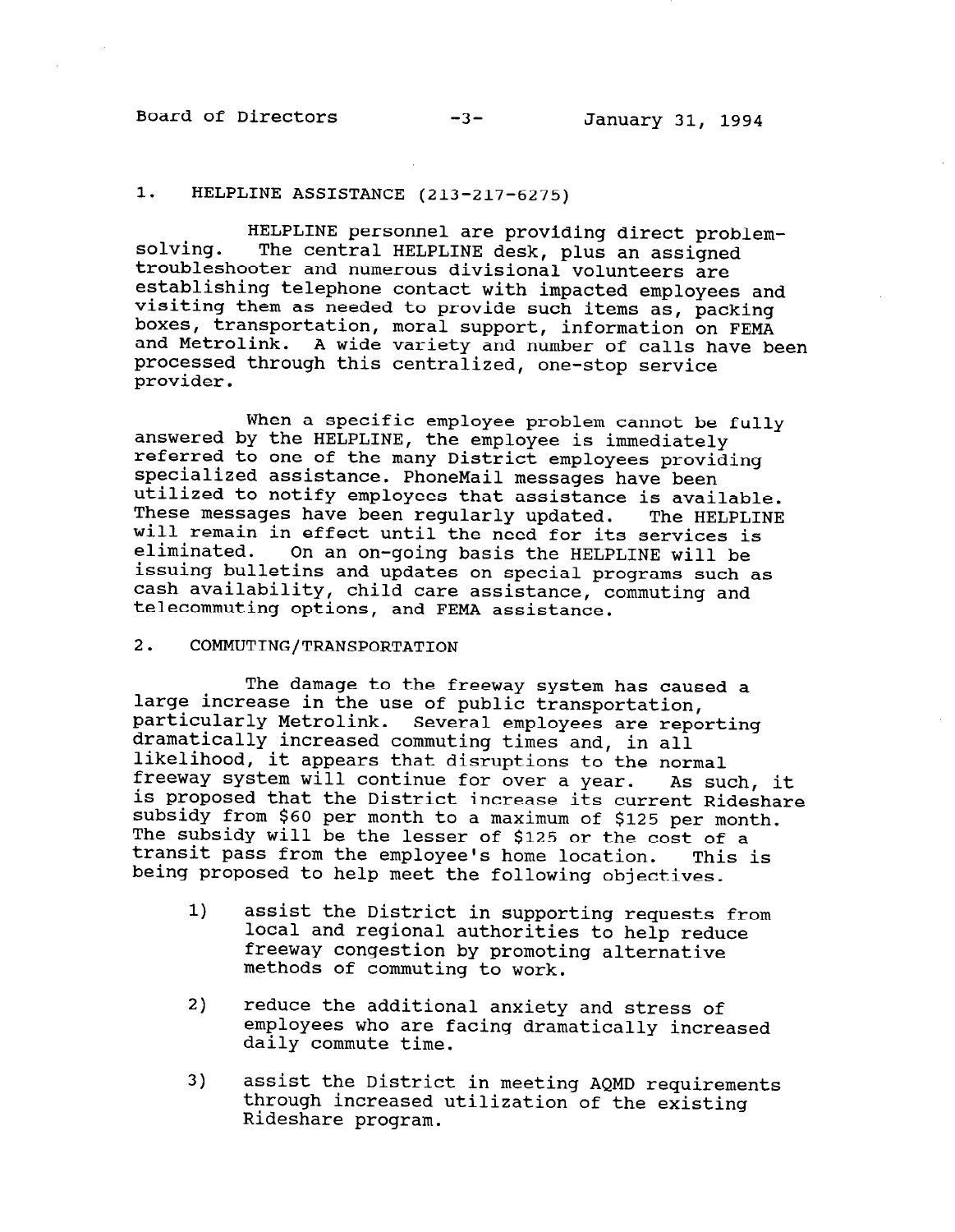Board of Directors -3- January 31, 1994

## 1. HELPLINE ASSISTANCE (213-217-6275)

solving. HELPLINE personnel are providing direct problem-The central HELPLINE desk, plus an assigned troubleshooter and numerous divisional volunteers are establishing telephone contact with impacted employees and visiting them as needed to provide such items as, packing boxes, transportation, moral support, information on FEMA and Metrolink. A wide variety and number of calls have been processed through this centralized, one-stop service provider.

When a specific employee problem cannot be fully answered by the HELPLINE, the employee is immediately referred to one of the many District employees providing specialized assistance. PhoneMail messages have been utilized to notify employees that assistance is available. These messages have been regularly updated. The HELPLINE will remain in effect until the need for its services is eliminated. On an on-going basis the HELPLINE will be issuing bulletins and updates on special programs such as cash availability, child care assistance, commuting and telecommuting options, and FEMA assistance.

# 2. COMMUTING/TRANSPORTATION

The damage to the freeway system has caused a large increase in the use of public transportation, particularly Metrolink. Several employees are reporting dramatically increased commuting times and, in all likelihood, it appears that disruptions to the normal freeway system will continue for over a year. As such, it is proposed that the District increase its current Rideshare subsidy from \$60 per month to a maximum of \$125 per month. The subsidy will be the lesser of \$125 or the cost of a transit pass from the employee's home location. This is being proposed to help meet the following objectives.

- 1) assist the District in supporting requests from local and regional authorities to help reduce freeway congestion by promoting alternative methods of commuting to work.
- 2) reduce the additional anxiety and stress of reduce the additional draitery dramatically in daily commute time.
- $3)$  assist the District in meeting  $\lambda QMD$  requirements assist the District In meeting AQMD require through increased utilization of the existing<br>Rideshare program.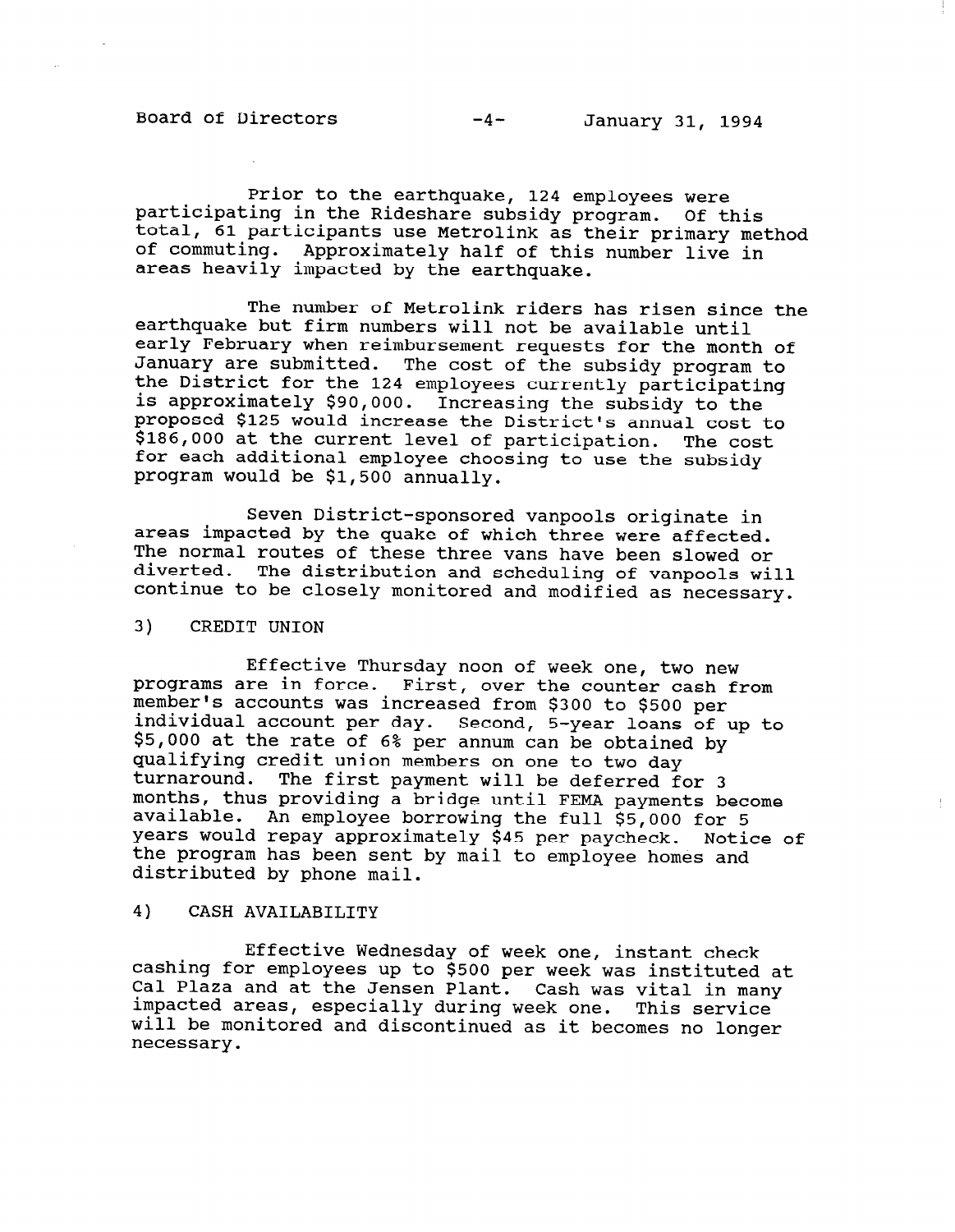$\pm$ 

Prior to the earthquake, 124 employees were participating in the Rideshare subsidy program. Of this total, 61 participants use Metrolink as their primary method of commuting. Approximately half of this number live in areas heavily impacted by the earthquake.

The number of Metrolink riders has risen since the earthquake but firm numbers will not be available until early February when reimbursement requests for the month of January are submitted. The cost of the subsidy program to the District for the 124 employees currently participating is approximately \$90,000. Increasing the subsidy to the proposed \$125 would increase the District's annual cost to \$186,000 at the current level of participation. The cost for each additional employee choosing to use the subsidy program would be \$1,500 annually.

Seven District-sponsored vanpools originate in areas impacted by the quake of which three were affected. The normal routes of these three vans have been slowed or diverted. The distribution and scheduling of vanpools will continue to be closely monitored and modified as necessary.

#### 3) CREDIT UNION

Effective Thursday noon of week one, two new programs are in force. First, over the counter cash from member's accounts was increased from \$300 to \$500 per individual account per day. Second, 5-year loans of up to \$5,000 at the rate of 6% per annum can be obtained by qualifying credit union members on one to two day turnaround. The first payment will be deferred for 3 months, thus providing a bridge until FEMA payments become available. An employee borrowing the full \$5,000 for 5 wedies in employed bollowing the full 99,000 for 9<br>Vears would repay approximately \$45 per paycheck. Notice of the program has been sont by mail to employee homis and the program has been sent by mail to employee homes and distributed by phone mail.

### 4) CASH AVAILABILITY

Effective Wednesday of week one, instant check cashing for employees up to \$500 per week was instituted at cashing for emproyees up to good per week was instituted a<br>Cal Plaza and at the Jensen Plant. Cash was wital in many cal field and at the bensen riant. Cash was vital in me.<br>impacted areas, especially during week one. This servi impucted areas, especially dufflig week one. This service will be monitored and discontinued as it becomes no longer necessary.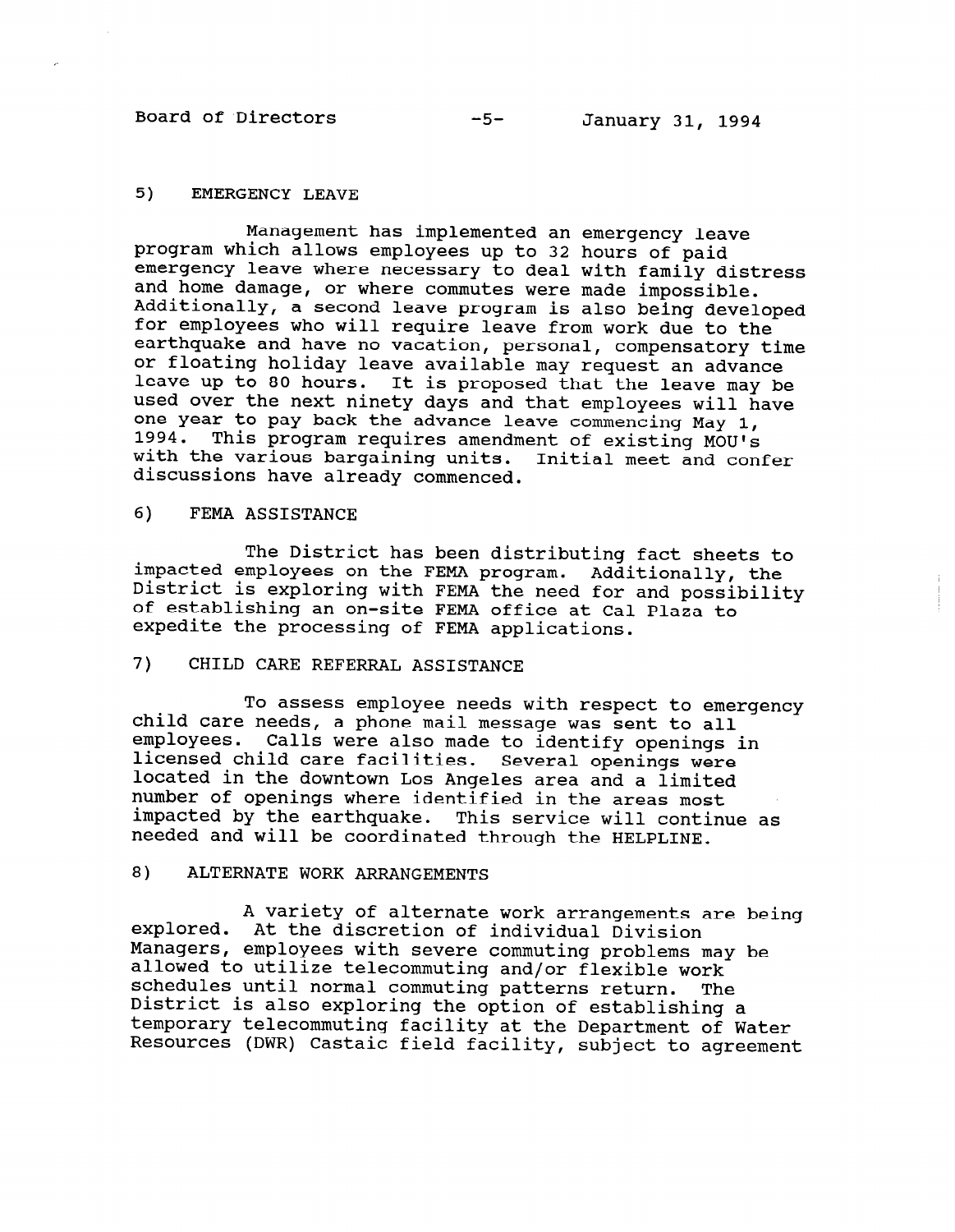Board of Directors -5- January 31, 1994

#### 5) EMERGENCY LEAVE

Management has implemented an emergency leave program which allows employees up to 32 hours of paid emergency leave where necessary to deal with family distress and home damage, or where commutes were made impossib Additionally, a second leave program is also being develope for employees who will require leave from work due to the earthquake and have no vacation, personal, compensatory time or floating holiday leave available may request an advance leave up to 80 hours. It is proposed that the leave may be used over the next ninety days and that employees will have one year to pay back the advance leave commencing May 1, 1994. This program requires amendment of existing MOU's with the various bargaining units. Initial meet and confer discussions have already commenced.

## 6) FEMA ASSISTANCE

The District has been distributing fact sheets to impacted employees on the FEMA program. Additionally, the District is exploring with FEMA the need for and possibility of establishing an on-site FEMA office at Cal Plaza to expedite the processing of FEMA applications.

# 7) CHILD CARE REFERRAL ASSISTANCE

To assess employee needs with respect to emergency child care needs, a phone mail message was sent to all employees. Calls were also made to identify openings in licensed child care facilities. Several openings were located in the downtown Los Angeles area and a limited number of openings where identified in the areas most impacted by the earthquake. This service will continue as needed and will be coordinated through the HELPLINE.

#### 8) ALTERNATE WORK ARRANGEMENTS

explored. At the discretion of individual Division A variety of alternate work arrangements are being Managers, employees with severe commuting problems may be allowed to utilize telecommuting and/or flexible work schedules until normal commuting patterns return. The District is also exploring the option of establishing a temporary telecommuting facility at the Department of Water Resources (DWR) Castaic field facility, subject to agreement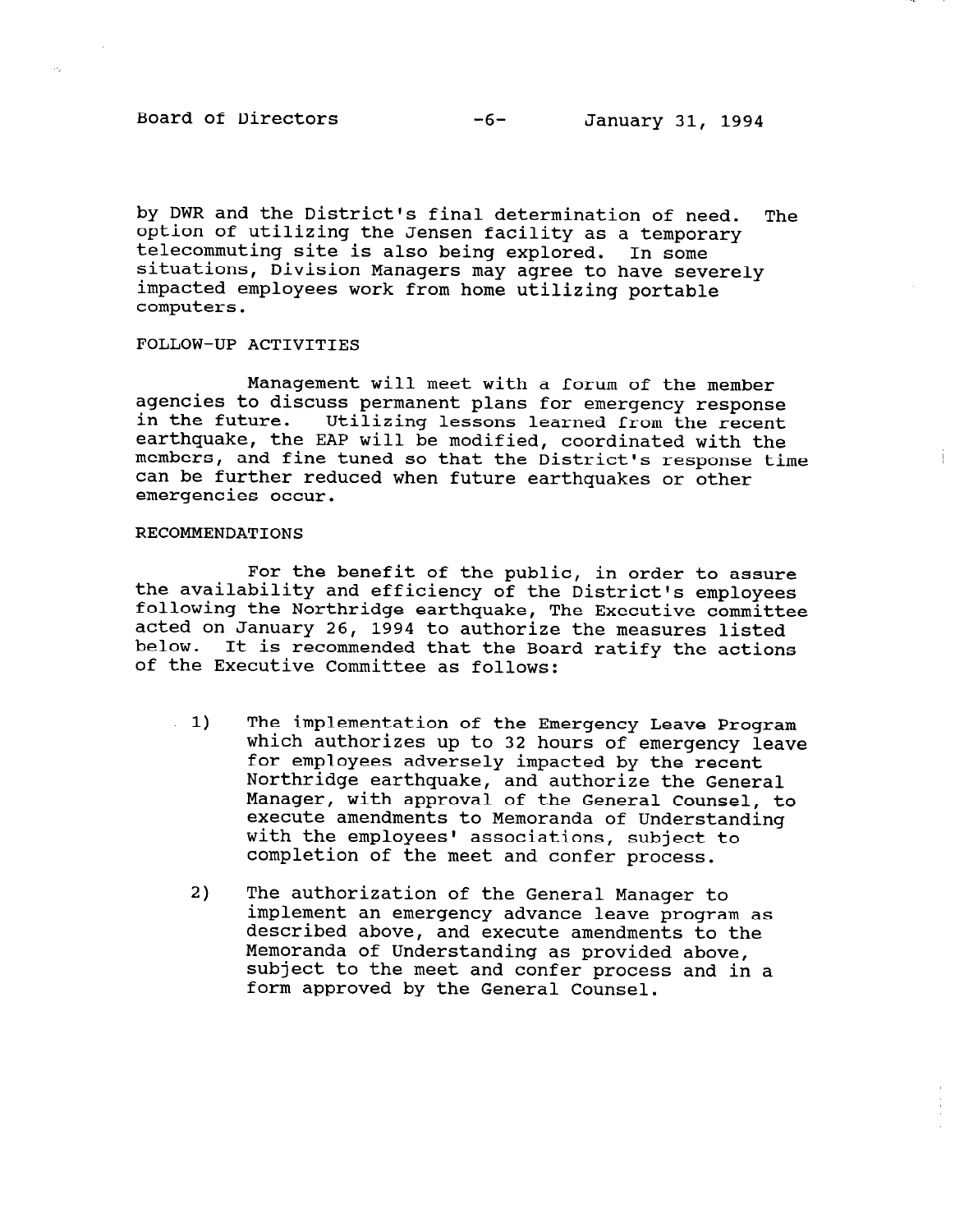Board of Directors -6- January 31, 1994

by DWR and the District's final determination of need. The option of utilizing the Jensen facility as a temporary telecommuting site is also being explored. In some situations, Division Managers may agree to have severely impacted employees work from home utilizing portable computers.

## FOLLOW-UP ACTIVITIES

Management will meet with a forum of the member agencies to discuss permanent plans for emergency response in the future. Utilizing lessons learned from the recent earthquake, the EAP will be modified, coordinated with the members, and fine tuned so that the District's response time can be further reduced when future earthquakes or other emergencies occur.

#### RECOMMENDATIONS

For the benefit of the public, in order to assure the availability and efficiency of the District's employees following the Northridge earthquake, The Executive committee acted on January 26, 1994 to authorize the measures listed below. It is recommended that the Board ratify the actions of the Executive Committee as follows:

- 1) The implementation of the Emergency Leave Program which authorizes up to 32 hours of emergency leave for employees adversely impacted by the recent Northridge earthquake, and authorize the General Manager, with approval of the General Counsel, to execute amendments to Memoranda of Understanding with the employees' associations, subject to completion of the meet and confer process.
- 2) The authorization of the General Manager to implement an emergency advance leave program as described above, and execute amendments to the Memoranda of Understanding as provided above, subject to the meet and confer process and in a form approved by the General Counsel.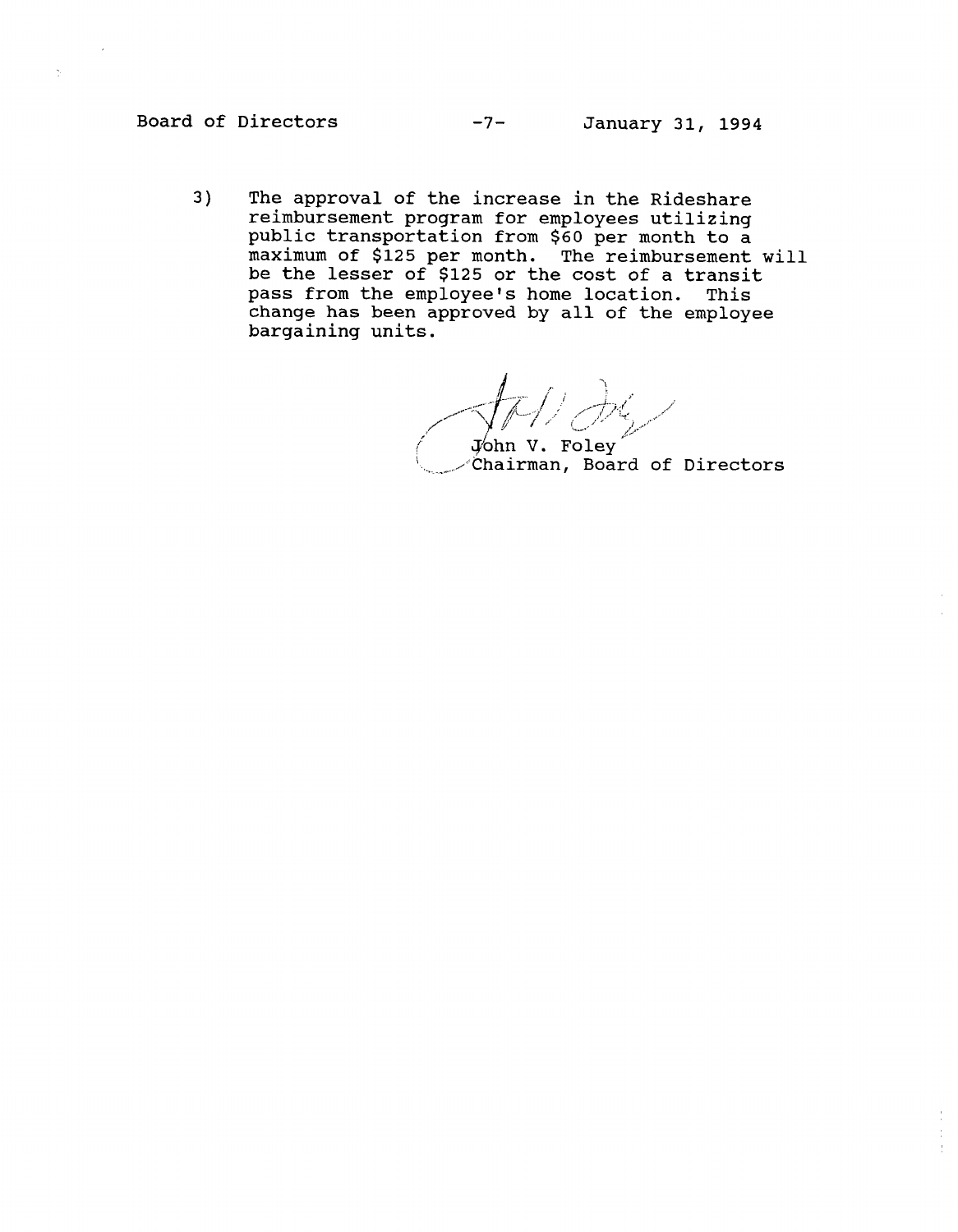3) The approval of the increase in the Rideshare reimbursement program for employees utilizing public transportation from \$60 per month to a maximum of \$125 per month. The reimbursement will be the lesser of \$125 or the cost of a transit pass from the employee's home location. This change has been approved by all of the employee bargaining units.

 $\overline{\psi}$ ohn V. Foley<br>Chairman, Board of Directors